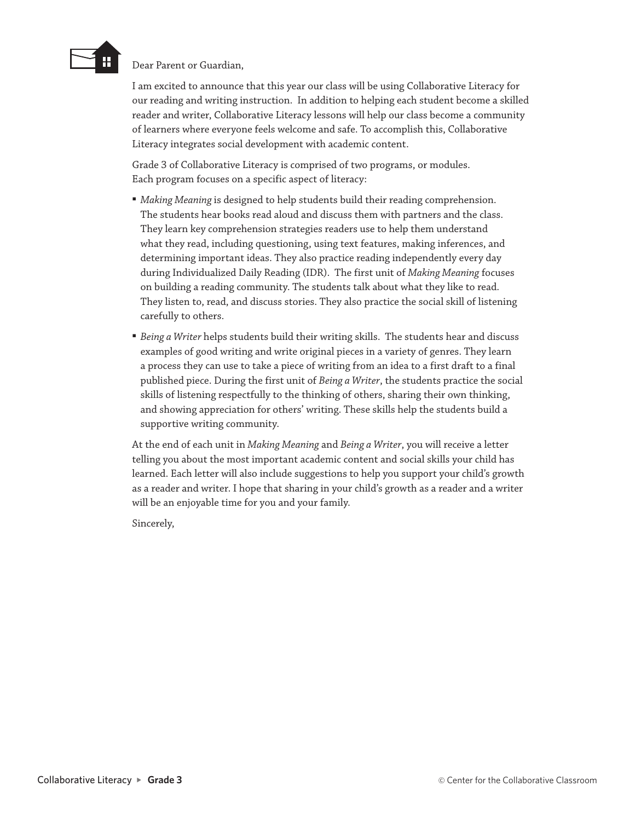

Dear Parent or Guardian,

I am excited to announce that this year our class will be using Collaborative Literacy for our reading and writing instruction. In addition to helping each student become a skilled reader and writer, Collaborative Literacy lessons will help our class become a community of learners where everyone feels welcome and safe. To accomplish this, Collaborative Literacy integrates social development with academic content.

Grade 3 of Collaborative Literacy is comprised of two programs, or modules. Each program focuses on a specific aspect of literacy:

- *Making Meaning* is designed to help students build their reading comprehension. The students hear books read aloud and discuss them with partners and the class. They learn key comprehension strategies readers use to help them understand what they read, including questioning, using text features, making inferences, and determining important ideas. They also practice reading independently every day during Individualized Daily Reading (IDR). The first unit of *Making Meaning* focuses on building a reading community. The students talk about what they like to read. They listen to, read, and discuss stories. They also practice the social skill of listening carefully to others.
- *Being a Writer* helps students build their writing skills. The students hear and discuss examples of good writing and write original pieces in a variety of genres. They learn a process they can use to take a piece of writing from an idea to a first draft to a final published piece. During the first unit of *Being a Writer*, the students practice the social skills of listening respectfully to the thinking of others, sharing their own thinking, and showing appreciation for others' writing. These skills help the students build a supportive writing community.

At the end of each unit in *Making Meaning* and *Being a Writer*, you will receive a letter telling you about the most important academic content and social skills your child has learned. Each letter will also include suggestions to help you support your child's growth as a reader and writer. I hope that sharing in your child's growth as a reader and a writer will be an enjoyable time for you and your family.

Sincerely,